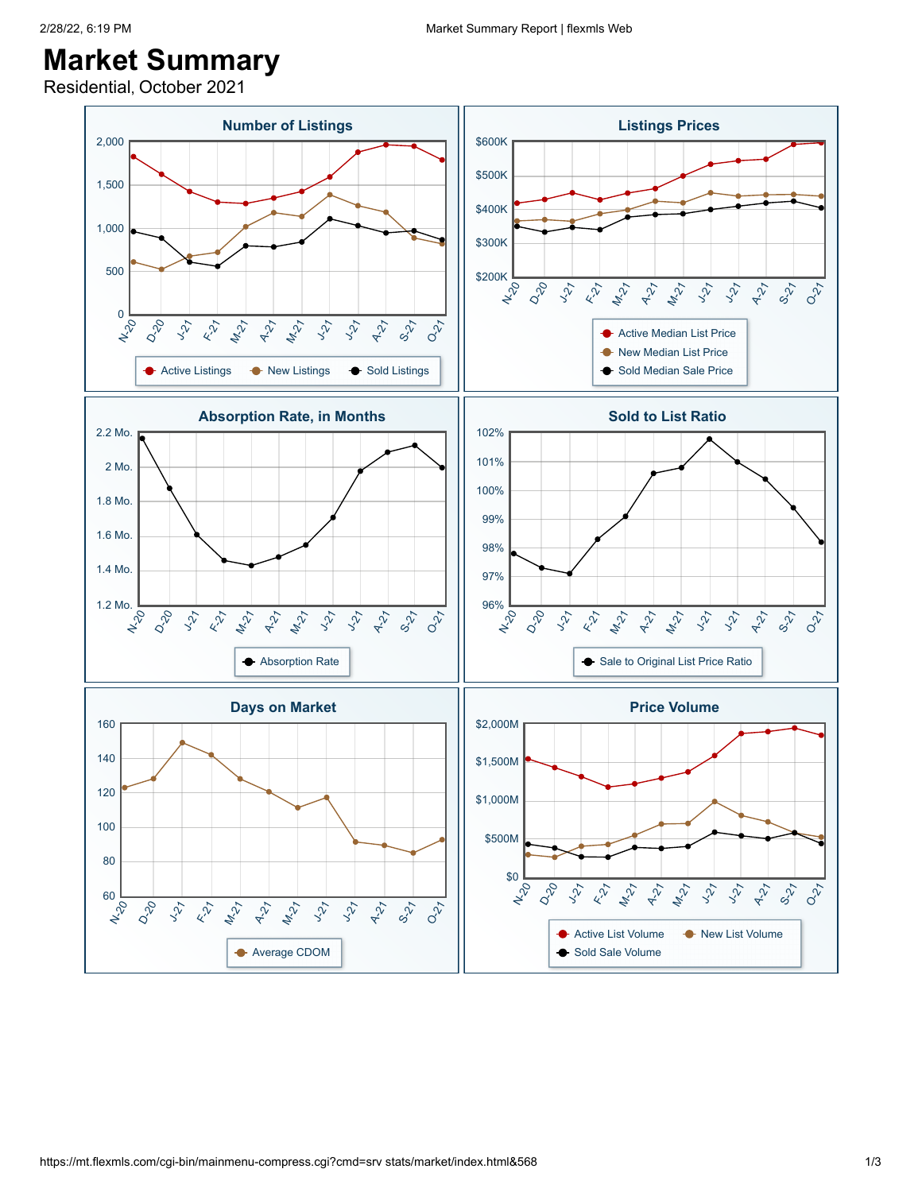## 2/28/22, 6:19 PM Market Summary Report | flexmls Web

## **Market Summary**

Residential, October 2021

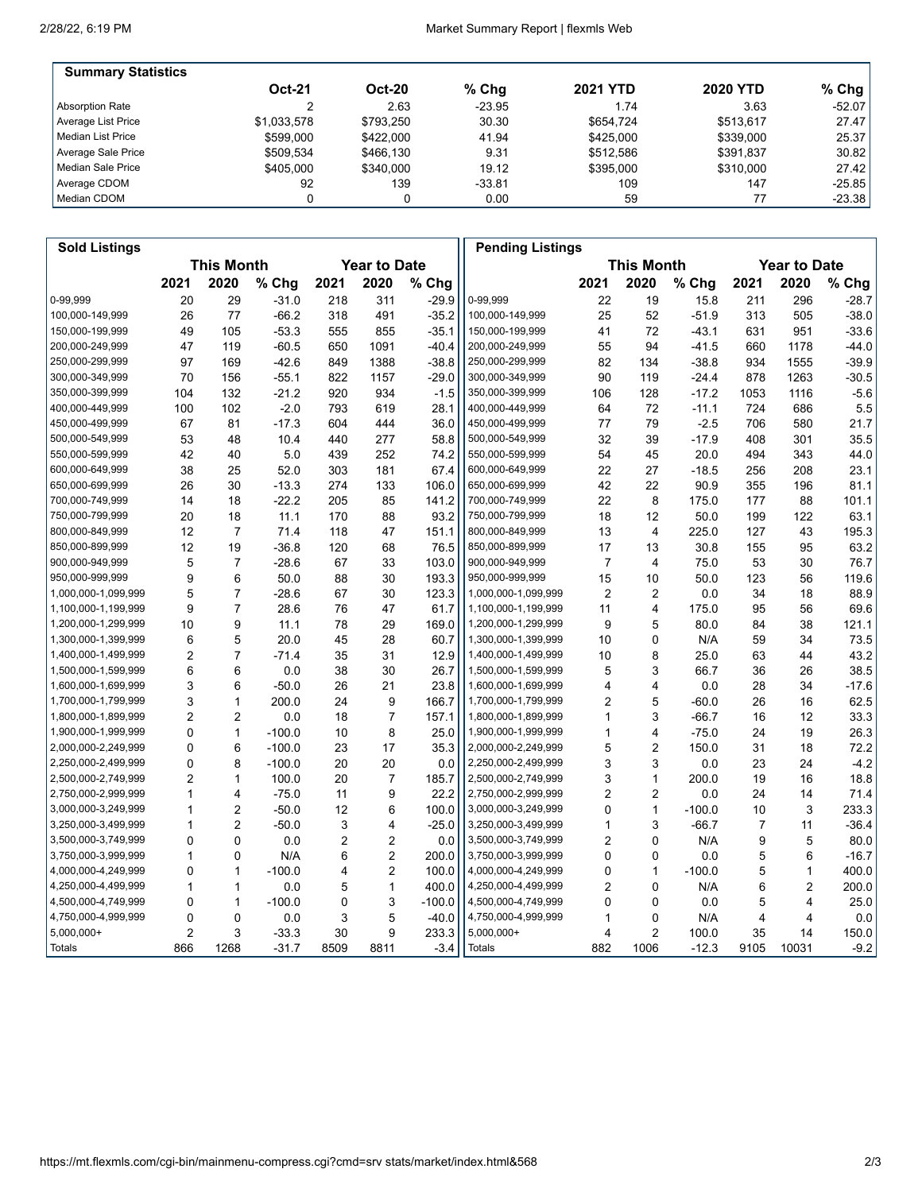'n

| <b>Summary Statistics</b> |               |           |          |                 |                 |           |
|---------------------------|---------------|-----------|----------|-----------------|-----------------|-----------|
|                           | <b>Oct-21</b> | $Oct-20$  | $%$ Chg  | <b>2021 YTD</b> | <b>2020 YTD</b> | % Chg $ $ |
| Absorption Rate           |               | 2.63      | $-23.95$ | 1.74            | 3.63            | $-52.07$  |
| Average List Price        | \$1.033.578   | \$793.250 | 30.30    | \$654.724       | \$513.617       | 27.47     |
| l Median List Price       | \$599,000     | \$422,000 | 41.94    | \$425,000       | \$339,000       | 25.37     |
| Average Sale Price        | \$509,534     | \$466,130 | 9.31     | \$512.586       | \$391,837       | 30.82     |
| Median Sale Price         | \$405,000     | \$340,000 | 19.12    | \$395,000       | \$310,000       | 27.42     |
| Average CDOM              | 92            | 139       | $-33.81$ | 109             | 147             | $-25.85$  |
| Median CDOM               |               |           | 0.00     | 59              | 77              | $-23.38$  |

| <b>Sold Listings</b> |                                          |                |          |      |                   |          | <b>Pending Listings</b> |                |                |                     |      |       |         |
|----------------------|------------------------------------------|----------------|----------|------|-------------------|----------|-------------------------|----------------|----------------|---------------------|------|-------|---------|
|                      | <b>This Month</b><br><b>Year to Date</b> |                |          |      | <b>This Month</b> |          |                         |                |                | <b>Year to Date</b> |      |       |         |
|                      | 2021                                     | 2020           | % Chg    | 2021 | 2020              | % Chg    |                         | 2021           | 2020           | % Chg               | 2021 | 2020  | % Chg   |
| 0-99,999             | 20                                       | 29             | $-31.0$  | 218  | 311               | $-29.9$  | 0-99,999                | 22             | 19             | 15.8                | 211  | 296   | $-28.7$ |
| 100,000-149,999      | 26                                       | 77             | $-66.2$  | 318  | 491               | $-35.2$  | 100,000-149,999         | 25             | 52             | $-51.9$             | 313  | 505   | $-38.0$ |
| 150,000-199,999      | 49                                       | 105            | $-53.3$  | 555  | 855               | $-35.1$  | 150,000-199,999         | 41             | 72             | $-43.1$             | 631  | 951   | $-33.6$ |
| 200,000-249,999      | 47                                       | 119            | $-60.5$  | 650  | 1091              | $-40.4$  | 200,000-249,999         | 55             | 94             | $-41.5$             | 660  | 1178  | $-44.0$ |
| 250,000-299,999      | 97                                       | 169            | $-42.6$  | 849  | 1388              | $-38.8$  | 250,000-299,999         | 82             | 134            | $-38.8$             | 934  | 1555  | $-39.9$ |
| 300,000-349,999      | 70                                       | 156            | $-55.1$  | 822  | 1157              | $-29.0$  | 300,000-349,999         | 90             | 119            | $-24.4$             | 878  | 1263  | $-30.5$ |
| 350,000-399,999      | 104                                      | 132            | $-21.2$  | 920  | 934               | $-1.5$   | 350,000-399,999         | 106            | 128            | $-17.2$             | 1053 | 1116  | $-5.6$  |
| 400,000-449,999      | 100                                      | 102            | $-2.0$   | 793  | 619               | 28.1     | 400,000-449,999         | 64             | 72             | $-11.1$             | 724  | 686   | 5.5     |
| 450,000-499,999      | 67                                       | 81             | $-17.3$  | 604  | 444               | 36.0     | 450,000-499,999         | 77             | 79             | $-2.5$              | 706  | 580   | 21.7    |
| 500,000-549,999      | 53                                       | 48             | 10.4     | 440  | 277               | 58.8     | 500,000-549,999         | 32             | 39             | $-17.9$             | 408  | 301   | 35.5    |
| 550,000-599,999      | 42                                       | 40             | 5.0      | 439  | 252               | 74.2     | 550,000-599,999         | 54             | 45             | 20.0                | 494  | 343   | 44.0    |
| 600,000-649,999      | 38                                       | 25             | 52.0     | 303  | 181               | 67.4     | 600,000-649,999         | 22             | 27             | $-18.5$             | 256  | 208   | 23.1    |
| 650,000-699,999      | 26                                       | 30             | $-13.3$  | 274  | 133               | 106.0    | 650,000-699,999         | 42             | 22             | 90.9                | 355  | 196   | 81.1    |
| 700,000-749,999      | 14                                       | 18             | $-22.2$  | 205  | 85                | 141.2    | 700,000-749,999         | 22             | 8              | 175.0               | 177  | 88    | 101.1   |
| 750,000-799,999      | 20                                       | 18             | 11.1     | 170  | 88                | 93.2     | 750,000-799,999         | 18             | 12             | 50.0                | 199  | 122   | 63.1    |
| 800,000-849,999      | 12                                       | $\overline{7}$ | 71.4     | 118  | 47                | 151.1    | 800,000-849,999         | 13             | $\overline{4}$ | 225.0               | 127  | 43    | 195.3   |
| 850,000-899,999      | 12                                       | 19             | $-36.8$  | 120  | 68                | 76.5     | 850,000-899,999         | 17             | 13             | 30.8                | 155  | 95    | 63.2    |
| 900,000-949,999      | 5                                        | $\overline{7}$ | $-28.6$  | 67   | 33                | 103.0    | 900,000-949,999         | $\overline{7}$ | $\overline{4}$ | 75.0                | 53   | 30    | 76.7    |
| 950,000-999,999      | 9                                        | 6              | 50.0     | 88   | 30                | 193.3    | 950,000-999,999         | 15             | 10             | 50.0                | 123  | 56    | 119.6   |
| 1,000,000-1,099,999  | 5                                        | $\overline{7}$ | $-28.6$  | 67   | 30                | 123.3    | 1,000,000-1,099,999     | $\overline{2}$ | $\overline{2}$ | 0.0                 | 34   | 18    | 88.9    |
| 1,100,000-1,199,999  | 9                                        | $\overline{7}$ | 28.6     | 76   | 47                | 61.7     | 1,100,000-1,199,999     | 11             | 4              | 175.0               | 95   | 56    | 69.6    |
| 1,200,000-1,299,999  | 10                                       | 9              | 11.1     | 78   | 29                | 169.0    | 1,200,000-1,299,999     | 9              | 5              | 80.0                | 84   | 38    | 121.1   |
| 1,300,000-1,399,999  | 6                                        | 5              | 20.0     | 45   | 28                | 60.7     | 1,300,000-1,399,999     | 10             | 0              | N/A                 | 59   | 34    | 73.5    |
| 1,400,000-1,499,999  | 2                                        | $\overline{7}$ | $-71.4$  | 35   | 31                | 12.9     | 1,400,000-1,499,999     | 10             | 8              | 25.0                | 63   | 44    | 43.2    |
| 1,500,000-1,599,999  | 6                                        | 6              | 0.0      | 38   | 30                | 26.7     | 1,500,000-1,599,999     | 5              | 3              | 66.7                | 36   | 26    | 38.5    |
| 1,600,000-1,699,999  | 3                                        | 6              | $-50.0$  | 26   | 21                | 23.8     | 1,600,000-1,699,999     | 4              | 4              | 0.0                 | 28   | 34    | $-17.6$ |
| 1,700,000-1,799,999  | 3                                        | $\mathbf{1}$   | 200.0    | 24   | 9                 | 166.7    | 1,700,000-1,799,999     | 2              | 5              | -60.0               | 26   | 16    | 62.5    |
| 1,800,000-1,899,999  | 2                                        | $\overline{2}$ | 0.0      | 18   | $\overline{7}$    | 157.1    | 1,800,000-1,899,999     | 1              | 3              | $-66.7$             | 16   | 12    | 33.3    |
| 1,900,000-1,999,999  | 0                                        | $\mathbf{1}$   | $-100.0$ | 10   | 8                 | 25.0     | 1,900,000-1,999,999     | 1              | 4              | $-75.0$             | 24   | 19    | 26.3    |
| 2,000,000-2,249,999  | 0                                        | 6              | $-100.0$ | 23   | 17                | 35.3     | 2,000,000-2,249,999     | 5              | $\overline{2}$ | 150.0               | 31   | 18    | 72.2    |
| 2,250,000-2,499,999  | 0                                        | 8              | $-100.0$ | 20   | 20                | 0.0      | 2,250,000-2,499,999     | 3              | 3              | 0.0                 | 23   | 24    | $-4.2$  |
| 2,500,000-2,749,999  | $\overline{2}$                           | 1              | 100.0    | 20   | 7                 | 185.7    | 2,500,000-2,749,999     | 3              | $\mathbf{1}$   | 200.0               | 19   | 16    | 18.8    |
| 2,750,000-2,999,999  | 1                                        | 4              | $-75.0$  | 11   | 9                 | 22.2     | 2,750,000-2,999,999     | $\overline{2}$ | $\overline{2}$ | 0.0                 | 24   | 14    | 71.4    |
| 3,000,000-3,249,999  | 1                                        | $\overline{2}$ | $-50.0$  | 12   | 6                 | 100.0    | 3,000,000-3,249,999     | 0              | $\mathbf{1}$   | $-100.0$            | 10   | 3     | 233.3   |
| 3,250,000-3,499,999  | 1                                        | $\overline{2}$ | $-50.0$  | 3    | 4                 | $-25.0$  | 3,250,000-3,499,999     | 1              | 3              | -66.7               | 7    | 11    | $-36.4$ |
| 3,500,000-3,749,999  | 0                                        | $\mathbf{0}$   | 0.0      | 2    | $\overline{2}$    | 0.0      | 3,500,000-3,749,999     | 2              | $\Omega$       | N/A                 | 9    | 5     | 80.0    |
| 3,750,000-3,999,999  | 1                                        | 0              | N/A      | 6    | $\overline{2}$    | 200.0    | 3,750,000-3,999,999     | 0              | 0              | 0.0                 | 5    | 6     | $-16.7$ |
| 4,000,000-4,249,999  | 0                                        | $\mathbf{1}$   | $-100.0$ | 4    | 2                 | 100.0    | 4,000,000-4,249,999     | 0              | $\mathbf{1}$   | $-100.0$            | 5    | 1     | 400.0   |
| 4,250,000-4,499,999  | 1                                        | 1              | 0.0      | 5    | $\mathbf{1}$      | 400.0    | 4,250,000-4,499,999     | 2              | 0              | N/A                 | 6    | 2     | 200.0   |
| 4,500,000-4,749,999  | 0                                        | $\mathbf{1}$   | $-100.0$ | 0    | 3                 | $-100.0$ | 4,500,000-4,749,999     | 0              | $\mathbf 0$    | 0.0                 | 5    | 4     | 25.0    |
| 4,750,000-4,999,999  | 0                                        | 0              | 0.0      | 3    | 5                 | $-40.0$  | 4,750,000-4,999,999     | 1              | 0              | N/A                 | 4    | 4     | 0.0     |
| $5,000,000+$         | 2                                        | 3              | $-33.3$  | 30   | 9                 | 233.3    | 5,000,000+              | 4              | $\overline{2}$ | 100.0               | 35   | 14    | 150.0   |
| Totals               | 866                                      | 1268           | $-31.7$  | 8509 | 8811              | $-3.4$   | <b>Totals</b>           | 882            | 1006           | $-12.3$             | 9105 | 10031 | $-9.2$  |